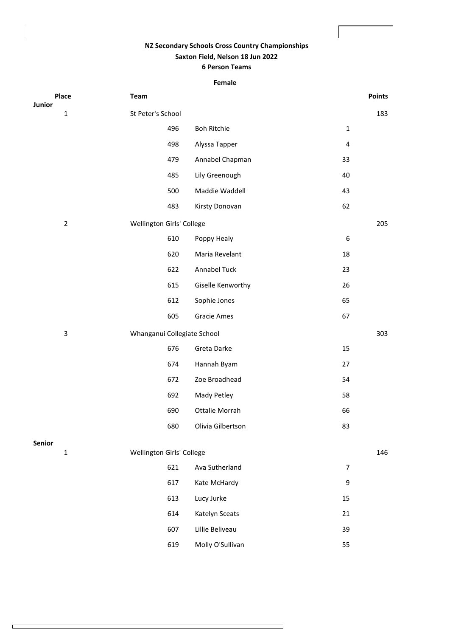## **NZ Secondary Schools Cross Country Championships Saxton Field, Nelson 18 Jun 2022 6 Person Teams**

## **Female**

| Place<br>Junior | Team                             |                    |                  | <b>Points</b> |
|-----------------|----------------------------------|--------------------|------------------|---------------|
| $\mathbf 1$     | St Peter's School                |                    |                  | 183           |
|                 | 496                              | <b>Boh Ritchie</b> | $\mathbf 1$      |               |
|                 | 498                              | Alyssa Tapper      | $\pmb{4}$        |               |
|                 | 479                              | Annabel Chapman    | 33               |               |
|                 | 485                              | Lily Greenough     | 40               |               |
|                 | 500                              | Maddie Waddell     | 43               |               |
|                 | 483                              | Kirsty Donovan     | 62               |               |
| $\overline{2}$  | Wellington Girls' College        |                    |                  | 205           |
|                 | 610                              | Poppy Healy        | $\boldsymbol{6}$ |               |
|                 | 620                              | Maria Revelant     | 18               |               |
|                 | 622                              | Annabel Tuck       | 23               |               |
|                 | 615                              | Giselle Kenworthy  | 26               |               |
|                 | 612                              | Sophie Jones       | 65               |               |
|                 | 605                              | Gracie Ames        | 67               |               |
| $\mathsf 3$     | Whanganui Collegiate School      |                    |                  | 303           |
|                 | 676                              | Greta Darke        | 15               |               |
|                 | 674                              | Hannah Byam        | 27               |               |
|                 | 672                              | Zoe Broadhead      | 54               |               |
|                 | 692                              | Mady Petley        | 58               |               |
|                 | 690                              | Ottalie Morrah     | 66               |               |
|                 | 680                              | Olivia Gilbertson  | 83               |               |
| Senior          |                                  |                    |                  |               |
| $\mathbf 1$     | Wellington Girls' College<br>621 | Ava Sutherland     | $\overline{7}$   | 146           |
|                 | 617                              | Kate McHardy       | 9                |               |
|                 |                                  | Lucy Jurke         |                  |               |
|                 | 613<br>614                       | Katelyn Sceats     | $15\,$<br>21     |               |
|                 | 607                              | Lillie Beliveau    | 39               |               |
|                 | 619                              | Molly O'Sullivan   | 55               |               |

Ξ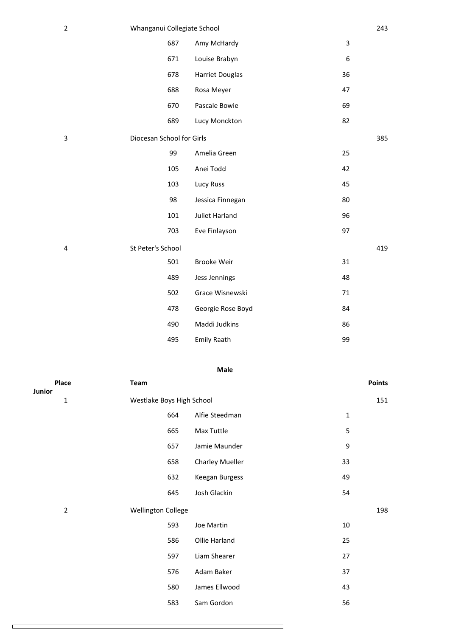| $\overline{2}$ | Whanganui Collegiate School |     |                        |    | 243 |
|----------------|-----------------------------|-----|------------------------|----|-----|
|                |                             | 687 | Amy McHardy            | 3  |     |
|                |                             | 671 | Louise Brabyn          | 6  |     |
|                |                             | 678 | <b>Harriet Douglas</b> | 36 |     |
|                |                             | 688 | Rosa Meyer             | 47 |     |
|                |                             | 670 | Pascale Bowie          | 69 |     |
|                |                             | 689 | Lucy Monckton          | 82 |     |
| 3              | Diocesan School for Girls   |     |                        |    | 385 |
|                |                             | 99  | Amelia Green           | 25 |     |
|                |                             | 105 | Anei Todd              | 42 |     |
|                |                             | 103 | Lucy Russ              | 45 |     |
|                |                             | 98  | Jessica Finnegan       | 80 |     |
|                |                             | 101 | <b>Juliet Harland</b>  | 96 |     |
|                |                             | 703 | Eve Finlayson          | 97 |     |
| 4              | St Peter's School           |     |                        |    | 419 |
|                |                             | 501 | <b>Brooke Weir</b>     | 31 |     |
|                |                             | 489 | Jess Jennings          | 48 |     |
|                |                             | 502 | Grace Wisnewski        | 71 |     |
|                |                             | 478 | Georgie Rose Boyd      | 84 |     |
|                |                             | 490 | Maddi Judkins          | 86 |     |
|                |                             | 495 | <b>Emily Raath</b>     | 99 |     |
|                |                             |     |                        |    |     |

## **Male**

|        | Place          | Team                      |                           |                 |        | <b>Points</b> |  |
|--------|----------------|---------------------------|---------------------------|-----------------|--------|---------------|--|
| Junior |                |                           |                           |                 |        |               |  |
| 1      |                |                           | Westlake Boys High School |                 |        |               |  |
|        |                |                           | 664                       | Alfie Steedman  | 1      |               |  |
|        |                |                           | 665                       | Max Tuttle      | 5      |               |  |
|        |                |                           | 657                       | Jamie Maunder   | 9      |               |  |
|        |                |                           | 658                       | Charley Mueller | 33     |               |  |
|        |                |                           | 632                       | Keegan Burgess  | 49     |               |  |
|        |                |                           | 645                       | Josh Glackin    | 54     |               |  |
|        | $\overline{2}$ | <b>Wellington College</b> |                           |                 |        | 198           |  |
|        |                |                           | 593                       | Joe Martin      | $10\,$ |               |  |
|        |                |                           | 586                       | Ollie Harland   | 25     |               |  |
|        |                |                           | 597                       | Liam Shearer    | 27     |               |  |
|        |                |                           | 576                       | Adam Baker      | 37     |               |  |
|        |                |                           | 580                       | James Ellwood   | 43     |               |  |
|        |                |                           | 583                       | Sam Gordon      | 56     |               |  |
|        |                |                           |                           |                 |        |               |  |

 $\Box$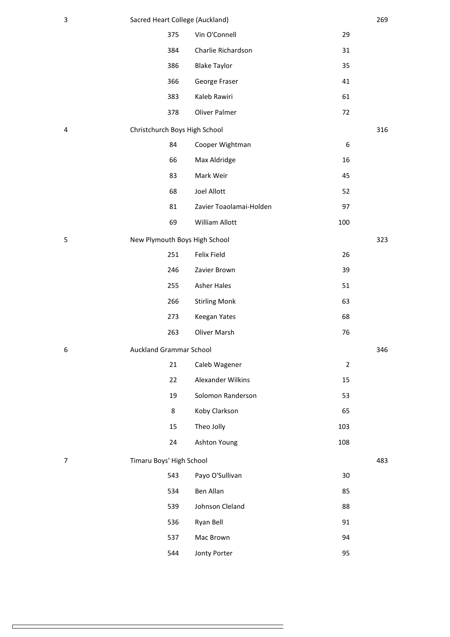| 3 | Sacred Heart College (Auckland) |                         |                | 269 |
|---|---------------------------------|-------------------------|----------------|-----|
|   | 375                             | Vin O'Connell           | 29             |     |
|   | 384                             | Charlie Richardson      | 31             |     |
|   | 386                             | <b>Blake Taylor</b>     | 35             |     |
|   | 366                             | George Fraser           | 41             |     |
|   | 383                             | Kaleb Rawiri            | 61             |     |
|   | 378                             | Oliver Palmer           | 72             |     |
| 4 | Christchurch Boys High School   |                         |                | 316 |
|   | 84                              | Cooper Wightman         | 6              |     |
|   | 66                              | Max Aldridge            | 16             |     |
|   | 83                              | Mark Weir               | 45             |     |
|   | 68                              | Joel Allott             | 52             |     |
|   | 81                              | Zavier Toaolamai-Holden | 97             |     |
|   | 69                              | William Allott          | 100            |     |
| 5 | New Plymouth Boys High School   |                         |                | 323 |
|   | 251                             | Felix Field             | 26             |     |
|   | 246                             | Zavier Brown            | 39             |     |
|   | 255                             | <b>Asher Hales</b>      | 51             |     |
|   | 266                             | <b>Stirling Monk</b>    | 63             |     |
|   | 273                             | Keegan Yates            | 68             |     |
|   | 263                             | Oliver Marsh            | 76             |     |
| 6 | <b>Auckland Grammar School</b>  |                         |                | 346 |
|   | 21                              | Caleb Wagener           | $\overline{2}$ |     |
|   | 22                              | Alexander Wilkins       | 15             |     |
|   | 19                              | Solomon Randerson       | 53             |     |
|   | 8                               | Koby Clarkson           | 65             |     |
|   | 15                              | Theo Jolly              | 103            |     |
|   | 24                              | Ashton Young            | 108            |     |
| 7 | Timaru Boys' High School        |                         |                | 483 |
|   | 543                             | Payo O'Sullivan         | 30             |     |
|   | 534                             | Ben Allan               | 85             |     |
|   | 539                             | Johnson Cleland         | 88             |     |
|   | 536                             | Ryan Bell               | 91             |     |
|   | 537                             | Mac Brown               | 94             |     |
|   | 544                             | Jonty Porter            | 95             |     |
|   |                                 |                         |                |     |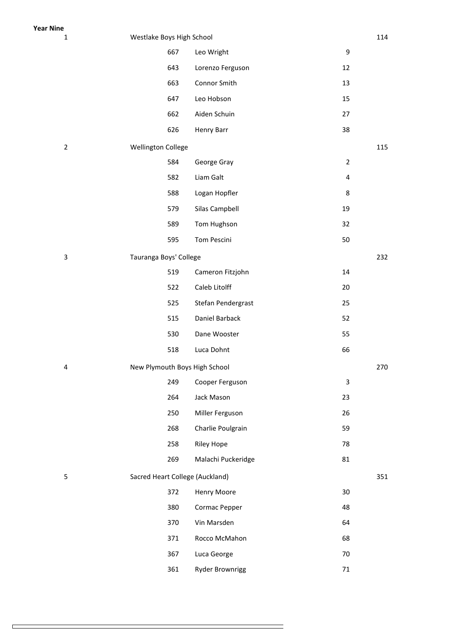| $\mathbf{1}$   | Westlake Boys High School       |                    |                         | 114 |
|----------------|---------------------------------|--------------------|-------------------------|-----|
|                | 667                             | Leo Wright         | 9                       |     |
|                | 643                             | Lorenzo Ferguson   | 12                      |     |
|                | 663                             | Connor Smith       | 13                      |     |
|                | 647                             | Leo Hobson         | 15                      |     |
|                | 662                             | Aiden Schuin       | 27                      |     |
|                | 626                             | Henry Barr         | 38                      |     |
| $\overline{2}$ | <b>Wellington College</b>       |                    |                         | 115 |
|                | 584                             | George Gray        | $\overline{2}$          |     |
|                | 582                             | Liam Galt          | $\overline{\mathbf{4}}$ |     |
|                | 588                             | Logan Hopfler      | 8                       |     |
|                | 579                             | Silas Campbell     | 19                      |     |
|                | 589                             | Tom Hughson        | 32                      |     |
|                | 595                             | Tom Pescini        | 50                      |     |
| 3              | Tauranga Boys' College          |                    |                         | 232 |
|                | 519                             | Cameron Fitzjohn   | 14                      |     |
|                | 522                             | Caleb Litolff      | 20                      |     |
|                | 525                             | Stefan Pendergrast | 25                      |     |
|                | 515                             | Daniel Barback     | 52                      |     |
|                | 530                             | Dane Wooster       | 55                      |     |
|                | 518                             | Luca Dohnt         | 66                      |     |
| 4              | New Plymouth Boys High School   |                    |                         | 270 |
|                | 249                             | Cooper Ferguson    | 3                       |     |
|                | 264                             | Jack Mason         | 23                      |     |
|                | 250                             | Miller Ferguson    | 26                      |     |
|                | 268                             | Charlie Poulgrain  | 59                      |     |
|                | 258                             | <b>Riley Hope</b>  | 78                      |     |
|                | 269                             | Malachi Puckeridge | 81                      |     |
| 5              | Sacred Heart College (Auckland) |                    |                         | 351 |
|                | 372                             | Henry Moore        | 30                      |     |
|                | 380                             | Cormac Pepper      | 48                      |     |
|                | 370                             | Vin Marsden        | 64                      |     |
|                | 371                             | Rocco McMahon      | 68                      |     |
|                | 367                             | Luca George        | 70                      |     |
|                | 361                             | Ryder Brownrigg    | $71\,$                  |     |
|                |                                 |                    |                         |     |

 $\Box$ 

**Year Nine**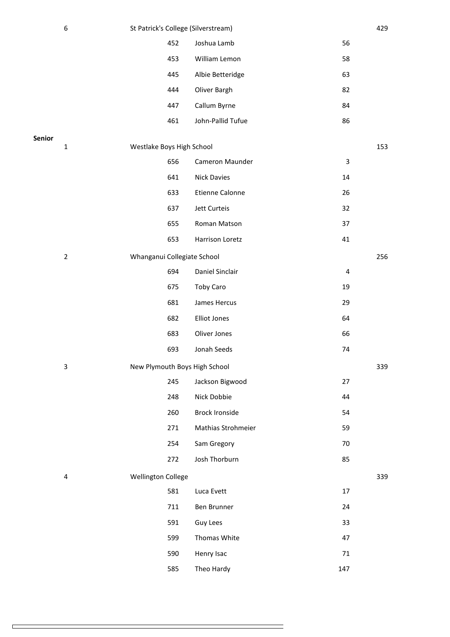|        | 6              | St Patrick's College (Silverstream) |     |                       |             | 429 |
|--------|----------------|-------------------------------------|-----|-----------------------|-------------|-----|
|        |                |                                     | 452 | Joshua Lamb           | 56          |     |
|        |                |                                     | 453 | William Lemon         | 58          |     |
|        |                |                                     | 445 | Albie Betteridge      | 63          |     |
|        |                |                                     | 444 | Oliver Bargh          | 82          |     |
|        |                |                                     | 447 | Callum Byrne          | 84          |     |
|        |                |                                     | 461 | John-Pallid Tufue     | 86          |     |
| Senior |                |                                     |     |                       |             |     |
|        | $\mathbf{1}$   | Westlake Boys High School           |     |                       |             | 153 |
|        |                |                                     | 656 | Cameron Maunder       | $\mathsf 3$ |     |
|        |                |                                     | 641 | <b>Nick Davies</b>    | 14          |     |
|        |                |                                     | 633 | Etienne Calonne       | 26          |     |
|        |                |                                     | 637 | Jett Curteis          | 32          |     |
|        |                |                                     | 655 | Roman Matson          | 37          |     |
|        |                |                                     | 653 | Harrison Loretz       | 41          |     |
|        | $\overline{2}$ | Whanganui Collegiate School         |     |                       |             | 256 |
|        |                |                                     | 694 | Daniel Sinclair       | 4           |     |
|        |                |                                     | 675 | Toby Caro             | 19          |     |
|        |                |                                     | 681 | James Hercus          | 29          |     |
|        |                |                                     | 682 | <b>Elliot Jones</b>   | 64          |     |
|        |                |                                     | 683 | Oliver Jones          | 66          |     |
|        |                |                                     | 693 | Jonah Seeds           | 74          |     |
|        | 3              | New Plymouth Boys High School       |     |                       |             | 339 |
|        |                |                                     | 245 | Jackson Bigwood       | 27          |     |
|        |                |                                     | 248 | Nick Dobbie           | 44          |     |
|        |                |                                     | 260 | <b>Brock Ironside</b> | 54          |     |
|        |                |                                     | 271 | Mathias Strohmeier    | 59          |     |
|        |                |                                     | 254 | Sam Gregory           | 70          |     |
|        |                |                                     | 272 | Josh Thorburn         | 85          |     |
|        | 4              | Wellington College                  |     |                       |             | 339 |
|        |                |                                     | 581 | Luca Evett            | 17          |     |
|        |                |                                     | 711 | Ben Brunner           | 24          |     |
|        |                |                                     | 591 | Guy Lees              | 33          |     |
|        |                |                                     | 599 | Thomas White          | 47          |     |
|        |                |                                     | 590 | Henry Isac            | 71          |     |
|        |                |                                     | 585 | Theo Hardy            | 147         |     |
|        |                |                                     |     |                       |             |     |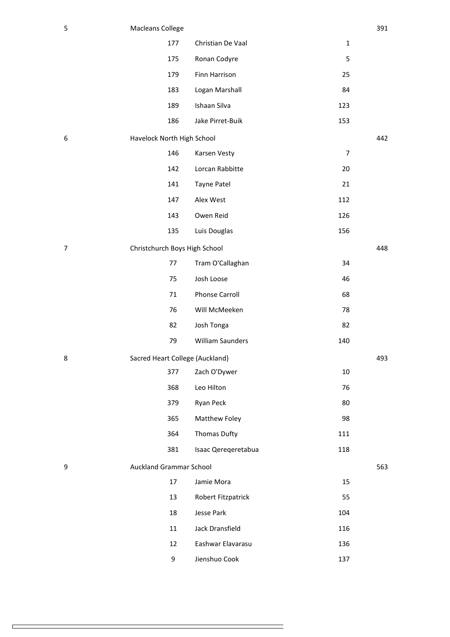| 5              | <b>Macleans College</b>         |                       |                | 391 |
|----------------|---------------------------------|-----------------------|----------------|-----|
|                | 177                             | Christian De Vaal     | $\mathbf 1$    |     |
|                | 175                             | Ronan Codyre          | 5              |     |
|                | 179                             | Finn Harrison         | 25             |     |
|                | 183                             | Logan Marshall        | 84             |     |
|                | 189                             | Ishaan Silva          | 123            |     |
|                | 186                             | Jake Pirret-Buik      | 153            |     |
| 6              | Havelock North High School      |                       |                | 442 |
|                | 146                             | Karsen Vesty          | $\overline{7}$ |     |
|                | 142                             | Lorcan Rabbitte       | 20             |     |
|                | 141                             | Tayne Patel           | 21             |     |
|                | 147                             | Alex West             | 112            |     |
|                | 143                             | Owen Reid             | 126            |     |
|                | 135                             | Luis Douglas          | 156            |     |
| $\overline{7}$ | Christchurch Boys High School   |                       |                | 448 |
|                | 77                              | Tram O'Callaghan      | 34             |     |
|                | 75                              | Josh Loose            | 46             |     |
|                | 71                              | <b>Phonse Carroll</b> | 68             |     |
|                | 76                              | Will McMeeken         | 78             |     |
|                | 82                              | Josh Tonga            | 82             |     |
|                | 79                              | William Saunders      | 140            |     |
| 8              | Sacred Heart College (Auckland) |                       |                | 493 |
|                | 377                             | Zach O'Dywer          | 10             |     |
|                | 368                             | Leo Hilton            | 76             |     |
|                | 379                             | Ryan Peck             | 80             |     |
|                | 365                             | Matthew Foley         | 98             |     |
|                | 364                             | Thomas Dufty          | 111            |     |
|                | 381                             | Isaac Qereqeretabua   | 118            |     |
| 9              | <b>Auckland Grammar School</b>  |                       |                | 563 |
|                | 17                              | Jamie Mora            | 15             |     |
|                | 13                              | Robert Fitzpatrick    | 55             |     |
|                | 18                              | Jesse Park            | 104            |     |
|                | 11                              | Jack Dransfield       | 116            |     |
|                | 12                              | Eashwar Elavarasu     | 136            |     |
|                | 9                               | Jienshuo Cook         | 137            |     |